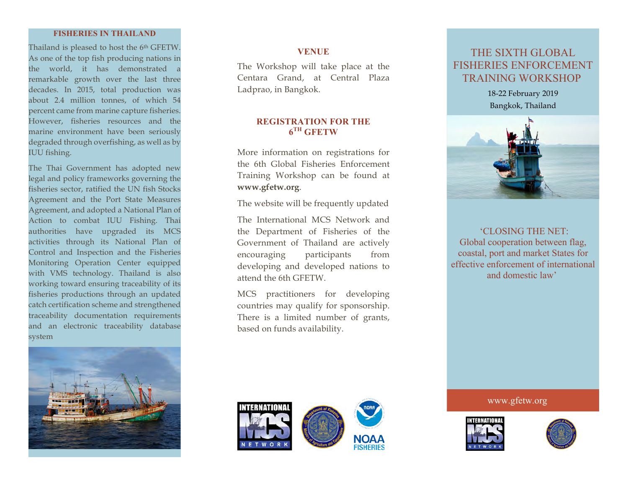### **FISHERIES IN THAILAND**

Thailand is pleased to host the 6<sup>th</sup> GFETW. As one of the top fish producing nations in the world, it has demonstrated a remarkable growth over the last three decades. In 2015, total production was about 2.4 million tonnes, of which 54 percent came from marine capture fisheries. However, fisheries resources and the marine environment have been seriously degraded through overfishing, as well as by IUU fishing.

The Thai Government has adopted new legal and policy frameworks governing the fisheries sector, ratified the UN fish Stocks Agreement and the Port State Measures Agreement, and adopted a National Plan of Action to combat IUU Fishing. Thai authorities have upgraded its MCS activities through its National Plan of Control and Inspection and the Fisheries Monitoring Operation Center equipped with VMS technology. Thailand is also working toward ensuring traceability of its fisheries productions through an updated catch certification scheme and strengthened traceability documentation requirements and an electronic traceability database system



## **VENUE**

The Workshop will take place at the Centara Grand, at Central Plaza Ladprao, in Bangkok.

## **REGISTRATION FOR THE 6TH GFETW**

More information on registrations for the 6th Global Fisheries Enforcement Training Workshop can be found at **www.gfetw.org**.

The website will be frequently updated

The International MCS Network and the Department of Fisheries of the Government of Thailand are actively encouraging participants from developing and developed nations to attend the 6th GFETW.

MCS practitioners for developing countries may qualify for sponsorship. There is a limited number of grants, based on funds availability.

# THE SIXTH GLOBAL FISHERIES ENFORCEMENT TRAINING WORKSHOP

18-22 February 2019 Bangkok, Thailand



'CLOSING THE NET: Global cooperation between flag, coastal, port and market States for effective enforcement of international and domestic law'

www.gfetw.org